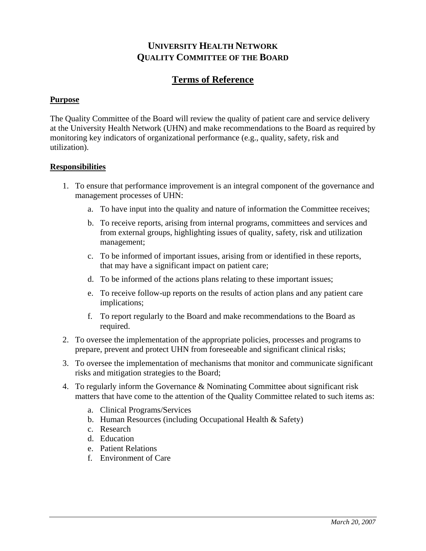## **UNIVERSITY HEALTH NETWORK QUALITY COMMITTEE OF THE BOARD**

## **Terms of Reference**

## **Purpose**

The Quality Committee of the Board will review the quality of patient care and service delivery at the University Health Network (UHN) and make recommendations to the Board as required by monitoring key indicators of organizational performance (e.g., quality, safety, risk and utilization).

## **Responsibilities**

- 1. To ensure that performance improvement is an integral component of the governance and management processes of UHN:
	- a. To have input into the quality and nature of information the Committee receives;
	- b. To receive reports, arising from internal programs, committees and services and from external groups, highlighting issues of quality, safety, risk and utilization management;
	- c. To be informed of important issues, arising from or identified in these reports, that may have a significant impact on patient care;
	- d. To be informed of the actions plans relating to these important issues;
	- e. To receive follow-up reports on the results of action plans and any patient care implications;
	- f. To report regularly to the Board and make recommendations to the Board as required.
- 2. To oversee the implementation of the appropriate policies, processes and programs to prepare, prevent and protect UHN from foreseeable and significant clinical risks;
- 3. To oversee the implementation of mechanisms that monitor and communicate significant risks and mitigation strategies to the Board;
- 4. To regularly inform the Governance & Nominating Committee about significant risk matters that have come to the attention of the Quality Committee related to such items as:
	- a. Clinical Programs/Services
	- b. Human Resources (including Occupational Health & Safety)
	- c. Research
	- d. Education
	- e. Patient Relations
	- f. Environment of Care